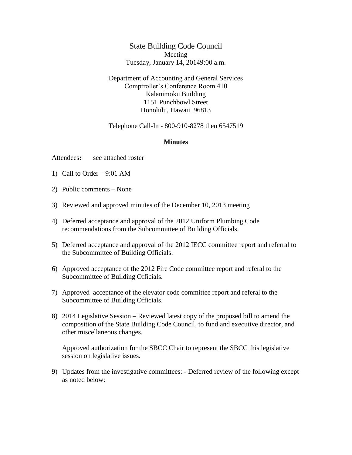## State Building Code Council Meeting Tuesday, January 14, 20149:00 a.m.

## Department of Accounting and General Services Comptroller's Conference Room 410 Kalanimoku Building 1151 Punchbowl Street Honolulu, Hawaii 96813

## Telephone Call-In - 800-910-8278 then 6547519

## **Minutes**

Attendees**:** see attached roster

- 1) Call to Order 9:01 AM
- 2) Public comments None
- 3) Reviewed and approved minutes of the December 10, 2013 meeting
- 4) Deferred acceptance and approval of the 2012 Uniform Plumbing Code recommendations from the Subcommittee of Building Officials.
- 5) Deferred acceptance and approval of the 2012 IECC committee report and referral to the Subcommittee of Building Officials.
- 6) Approved acceptance of the 2012 Fire Code committee report and referal to the Subcommittee of Building Officials.
- 7) Approved acceptance of the elevator code committee report and referal to the Subcommittee of Building Officials.
- 8) 2014 Legislative Session Reviewed latest copy of the proposed bill to amend the composition of the State Building Code Council, to fund and executive director, and other miscellaneous changes.

Approved authorization for the SBCC Chair to represent the SBCC this legislative session on legislative issues.

9) Updates from the investigative committees: - Deferred review of the following except as noted below: